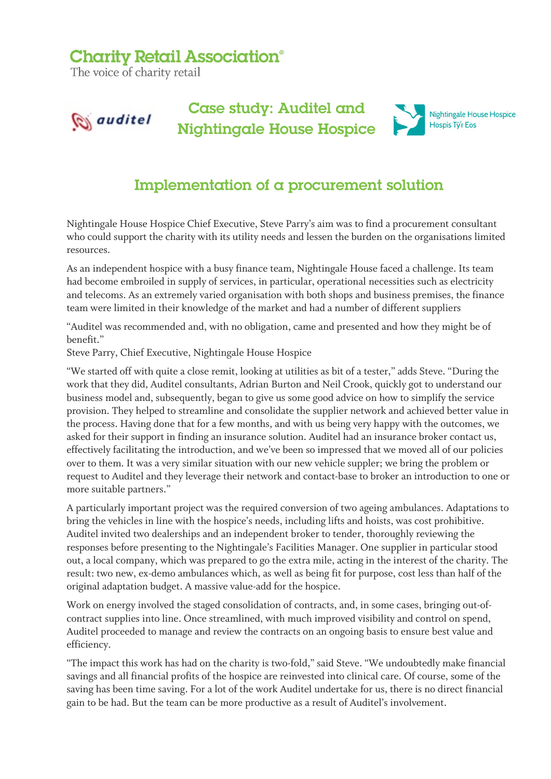## **Charity Retail Association®**

The voice of charity retail



## Implementation of a procurement solution

Nightingale House Hospice Chief Executive, Steve Parry's aim was to find a procurement consultant who could support the charity with its utility needs and lessen the burden on the organisations limited resources.

As an independent hospice with a busy finance team, Nightingale House faced a challenge. Its team had become embroiled in supply of services, in particular, operational necessities such as electricity and telecoms. As an extremely varied organisation with both shops and business premises, the finance team were limited in their knowledge of the market and had a number of different suppliers

"Auditel was recommended and, with no obligation, came and presented and how they might be of benefit."

Steve Parry, Chief Executive, Nightingale House Hospice

"We started off with quite a close remit, looking at utilities as bit of a tester," adds Steve. "During the work that they did, Auditel consultants, Adrian Burton and Neil Crook, quickly got to understand our business model and, subsequently, began to give us some good advice on how to simplify the service provision. They helped to streamline and consolidate the supplier network and achieved better value in the process. Having done that for a few months, and with us being very happy with the outcomes, we asked for their support in finding an insurance solution. Auditel had an insurance broker contact us, effectively facilitating the introduction, and we've been so impressed that we moved all of our policies over to them. It was a very similar situation with our new vehicle suppler; we bring the problem or request to Auditel and they leverage their network and contact-base to broker an introduction to one or more suitable partners."

A particularly important project was the required conversion of two ageing ambulances. Adaptations to bring the vehicles in line with the hospice's needs, including lifts and hoists, was cost prohibitive. Auditel invited two dealerships and an independent broker to tender, thoroughly reviewing the responses before presenting to the Nightingale's Facilities Manager. One supplier in particular stood out, a local company, which was prepared to go the extra mile, acting in the interest of the charity. The result: two new, ex-demo ambulances which, as well as being fit for purpose, cost less than half of the original adaptation budget. A massive value-add for the hospice.

Work on energy involved the staged consolidation of contracts, and, in some cases, bringing out-ofcontract supplies into line. Once streamlined, with much improved visibility and control on spend, Auditel proceeded to manage and review the contracts on an ongoing basis to ensure best value and efficiency.

"The impact this work has had on the charity is two-fold," said Steve. "We undoubtedly make financial savings and all financial profits of the hospice are reinvested into clinical care. Of course, some of the saving has been time saving. For a lot of the work Auditel undertake for us, there is no direct financial gain to be had. But the team can be more productive as a result of Auditel's involvement.